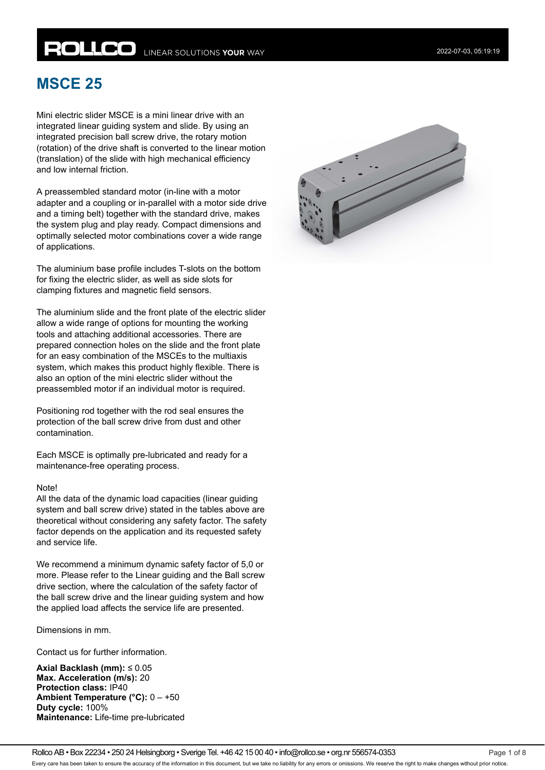# **ROLLCO** LINEAR SOLUTIONS YOUR WAY

## **MSCE 25**

Mini electric slider MSCE is a mini linear drive with an integrated linear guiding system and slide. By using an integrated precision ball screw drive, the rotary motion (rotation) of the drive shaft is converted to the linear motion (translation) of the slide with high mechanical efficiency and low internal friction.

A preassembled standard motor (in-line with a motor adapter and a coupling or in-parallel with a motor side drive and a timing belt) together with the standard drive, makes the system plug and play ready. Compact dimensions and optimally selected motor combinations cover a wide range of applications.

The aluminium base profile includes T-slots on the bottom for fixing the electric slider, as well as side slots for clamping fixtures and magnetic field sensors.

The aluminium slide and the front plate of the electric slider allow a wide range of options for mounting the working tools and attaching additional accessories. There are prepared connection holes on the slide and the front plate for an easy combination of the MSCEs to the multiaxis system, which makes this product highly flexible. There is also an option of the mini electric slider without the preassembled motor if an individual motor is required.

Positioning rod together with the rod seal ensures the protection of the ball screw drive from dust and other contamination.

Each MSCE is optimally pre-lubricated and ready for a maintenance-free operating process.

#### Note!

All the data of the dynamic load capacities (linear guiding system and ball screw drive) stated in the tables above are theoretical without considering any safety factor. The safety factor depends on the application and its requested safety and service life.

We recommend a minimum dynamic safety factor of 5,0 or more. Please refer to the Linear guiding and the Ball screw drive section, where the calculation of the safety factor of the ball screw drive and the linear guiding system and how the applied load affects the service life are presented.

Dimensions in mm.

Contact us for further information.

**Axial Backlash (mm):** ≤ 0.05 **Max. Acceleration (m/s):** 20 **Protection class:** IP40 **Ambient Temperature (°C):** 0 – +50 **Duty cycle:** 100% **Maintenance:** Life-time pre-lubricated

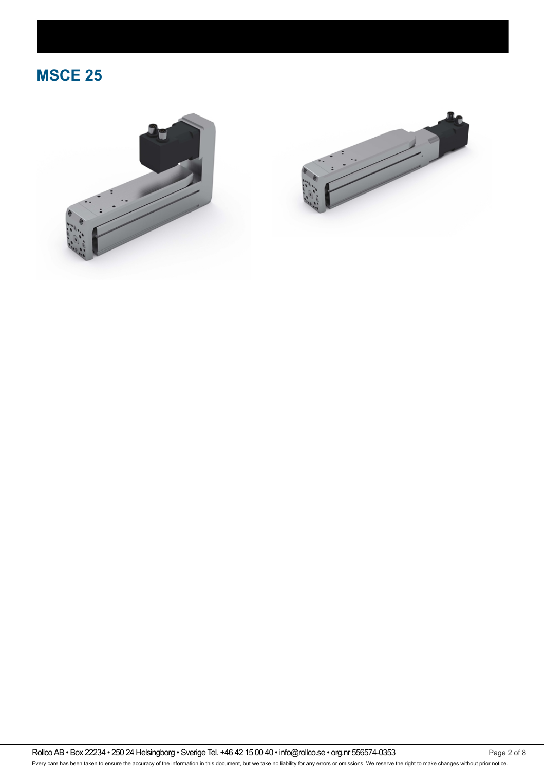## **MSCE 25**





Rollco AB • Box 22234 • 250 24 Helsingborg • Sverige Tel. +46 42 15 00 40 • info@rollco.se • org.nr 556574-0353 Page 2 of 8 Every care has been taken to ensure the accuracy of the information in this document, but we take no liability for any errors or omissions. We reserve the right to make changes without prior notice.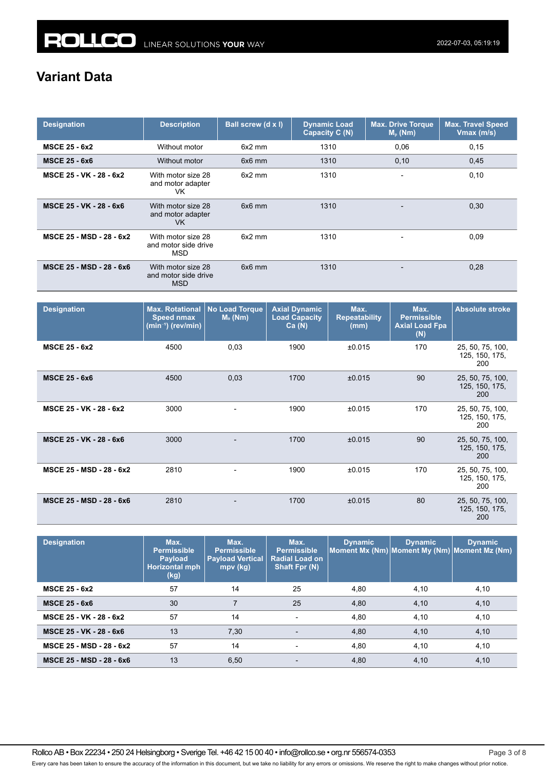### **Variant Data**

| <b>Designation</b>       | <b>Description</b>                                       | Ball screw (d x l) | <b>Dynamic Load</b><br>Capacity C (N) | <b>Max. Drive Torque</b><br>$Mp$ (Nm) | <b>Max. Travel Speed</b><br>Vmax (m/s) |
|--------------------------|----------------------------------------------------------|--------------------|---------------------------------------|---------------------------------------|----------------------------------------|
| <b>MSCE 25 - 6x2</b>     | Without motor                                            | $6x2$ mm           | 1310                                  | 0,06                                  | 0,15                                   |
| <b>MSCE 25 - 6x6</b>     | Without motor                                            | 6x6 mm             | 1310                                  | 0,10                                  | 0,45                                   |
| MSCE 25 - VK - 28 - 6x2  | With motor size 28<br>and motor adapter<br>VK            | $6x2$ mm           | 1310                                  |                                       | 0,10                                   |
| MSCE 25 - VK - 28 - 6x6  | With motor size 28<br>and motor adapter<br>VK.           | $6x6$ mm           | 1310                                  |                                       | 0,30                                   |
| MSCE 25 - MSD - 28 - 6x2 | With motor size 28<br>and motor side drive<br>MSD        | $6x2$ mm           | 1310                                  |                                       | 0,09                                   |
| MSCE 25 - MSD - 28 - 6x6 | With motor size 28<br>and motor side drive<br><b>MSD</b> | $6x6$ mm           | 1310                                  |                                       | 0,28                                   |

| <b>Designation</b>       | <b>Max. Rotational</b><br><b>Speed nmax</b><br>(min <sup>-1</sup> ) (rev/min) | <b>No Load Torque</b><br>$M0$ (Nm) | <b>Axial Dynamic</b><br><b>Load Capacity</b><br>Ca(N) | Max.<br><b>Repeatability</b><br>(mm) | Max.<br><b>Permissible</b><br><b>Axial Load Fpa</b><br>(N) | <b>Absolute stroke</b>                    |
|--------------------------|-------------------------------------------------------------------------------|------------------------------------|-------------------------------------------------------|--------------------------------------|------------------------------------------------------------|-------------------------------------------|
| <b>MSCE 25 - 6x2</b>     | 4500                                                                          | 0,03                               | 1900                                                  | ±0.015                               | 170                                                        | 25, 50, 75, 100,<br>125, 150, 175,<br>200 |
| <b>MSCE 25 - 6x6</b>     | 4500                                                                          | 0,03                               | 1700                                                  | ±0.015                               | 90                                                         | 25, 50, 75, 100,<br>125, 150, 175,<br>200 |
| MSCE 25 - VK - 28 - 6x2  | 3000                                                                          |                                    | 1900                                                  | ±0.015                               | 170                                                        | 25, 50, 75, 100,<br>125, 150, 175,<br>200 |
| MSCE 25 - VK - 28 - 6x6  | 3000                                                                          |                                    | 1700                                                  | ±0.015                               | 90                                                         | 25, 50, 75, 100,<br>125, 150, 175,<br>200 |
| MSCE 25 - MSD - 28 - 6x2 | 2810                                                                          |                                    | 1900                                                  | ±0.015                               | 170                                                        | 25, 50, 75, 100,<br>125, 150, 175,<br>200 |
| MSCE 25 - MSD - 28 - 6x6 | 2810                                                                          |                                    | 1700                                                  | ±0.015                               | 80                                                         | 25, 50, 75, 100,<br>125, 150, 175,<br>200 |

| <b>Designation</b>       | Max.<br><b>Permissible</b><br><b>Payload</b><br><b>Horizontal mph</b><br>(kg) | Max.<br>Permissible<br><b>Payload Vertical</b><br>mpv (kg) | Max.<br><b>Permissible</b><br><b>Radial Load on</b><br>Shaft Fpr (N) | <b>Dynamic</b> | <b>Dynamic</b><br>Moment Mx (Nm) Moment My (Nm) Moment Mz (Nm) | <b>Dynamic</b> |
|--------------------------|-------------------------------------------------------------------------------|------------------------------------------------------------|----------------------------------------------------------------------|----------------|----------------------------------------------------------------|----------------|
| <b>MSCE 25 - 6x2</b>     | 57                                                                            | 14                                                         | 25                                                                   | 4,80           | 4,10                                                           | 4,10           |
| <b>MSCE 25 - 6x6</b>     | 30                                                                            | $\overline{7}$                                             | 25                                                                   | 4.80           | 4,10                                                           | 4,10           |
| MSCE 25 - VK - 28 - 6x2  | 57                                                                            | 14                                                         | $\overline{\phantom{a}}$                                             | 4,80           | 4,10                                                           | 4,10           |
| MSCE 25 - VK - 28 - 6x6  | 13                                                                            | 7,30                                                       | $\overline{\phantom{0}}$                                             | 4,80           | 4,10                                                           | 4,10           |
| MSCE 25 - MSD - 28 - 6x2 | 57                                                                            | 14                                                         | $\overline{\phantom{a}}$                                             | 4,80           | 4,10                                                           | 4,10           |
| MSCE 25 - MSD - 28 - 6x6 | 13                                                                            | 6,50                                                       | $\overline{\phantom{0}}$                                             | 4,80           | 4,10                                                           | 4,10           |

Rollco AB • Box 22234 • 250 24 Helsingborg • Sverige Tel. +46 42 15 00 40 • info@rollco.se • org.nr 556574-0353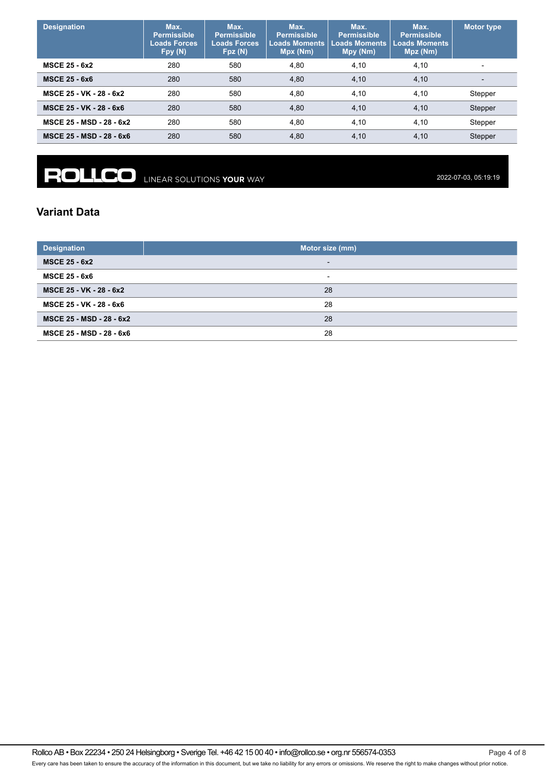| <b>Designation</b>       | Max.<br><b>Permissible</b><br>Loads Forces<br>Fpy(N) | Max.<br><b>Permissible</b><br><b>Loads Forces</b><br>Fpz(N) | Max.<br><b>Permissible</b><br><b>Loads Moments</b><br>Mpx (Nm) | Max.<br><b>Permissible</b><br><b>Loads Moments</b><br>Mpy (Nm) | Max.<br><b>Permissible</b><br><b>Loads Moments</b><br>Mpz (Nm) | Motor type               |
|--------------------------|------------------------------------------------------|-------------------------------------------------------------|----------------------------------------------------------------|----------------------------------------------------------------|----------------------------------------------------------------|--------------------------|
| <b>MSCE 25 - 6x2</b>     | 280                                                  | 580                                                         | 4,80                                                           | 4,10                                                           | 4,10                                                           | $\overline{\phantom{0}}$ |
| <b>MSCE 25 - 6x6</b>     | 280                                                  | 580                                                         | 4,80                                                           | 4,10                                                           | 4,10                                                           | $\overline{\phantom{0}}$ |
| MSCE 25 - VK - 28 - 6x2  | 280                                                  | 580                                                         | 4,80                                                           | 4,10                                                           | 4,10                                                           | Stepper                  |
| MSCE 25 - VK - 28 - 6x6  | 280                                                  | 580                                                         | 4,80                                                           | 4,10                                                           | 4,10                                                           | Stepper                  |
| MSCE 25 - MSD - 28 - 6x2 | 280                                                  | 580                                                         | 4,80                                                           | 4,10                                                           | 4,10                                                           | Stepper                  |
| MSCE 25 - MSD - 28 - 6x6 | 280                                                  | 580                                                         | 4,80                                                           | 4,10                                                           | 4,10                                                           | Stepper                  |

**ROLLCO** LINEAR SOLUTIONS YOUR WAY

2022-07-03, 05:19:19

### **Variant Data**

| <b>Designation</b>       | Motor size (mm)          |  |  |  |  |  |
|--------------------------|--------------------------|--|--|--|--|--|
| <b>MSCE 25 - 6x2</b>     | $\overline{\phantom{0}}$ |  |  |  |  |  |
| <b>MSCE 25 - 6x6</b>     | $\overline{\phantom{0}}$ |  |  |  |  |  |
| MSCE 25 - VK - 28 - 6x2  | 28                       |  |  |  |  |  |
| MSCE 25 - VK - 28 - 6x6  | 28                       |  |  |  |  |  |
| MSCE 25 - MSD - 28 - 6x2 | 28                       |  |  |  |  |  |
| MSCE 25 - MSD - 28 - 6x6 | 28                       |  |  |  |  |  |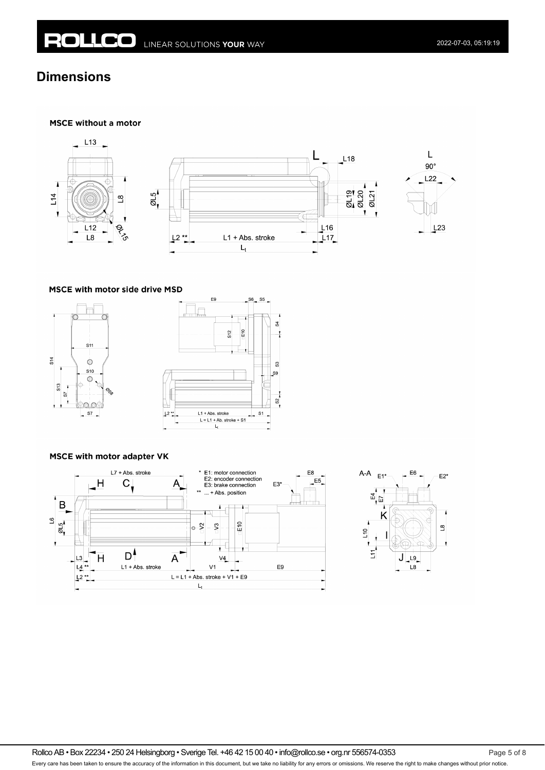### **Dimensions**

#### **MSCE without a motor**



#### MSCE with motor side drive MSD





### **MSCE with motor adapter VK**





Rollco AB • Box 22234 • 250 24 Helsingborg • Sverige Tel. +46 42 15 00 40 • info@rollco.se • org.nr 556574-0353 Page 5 of 8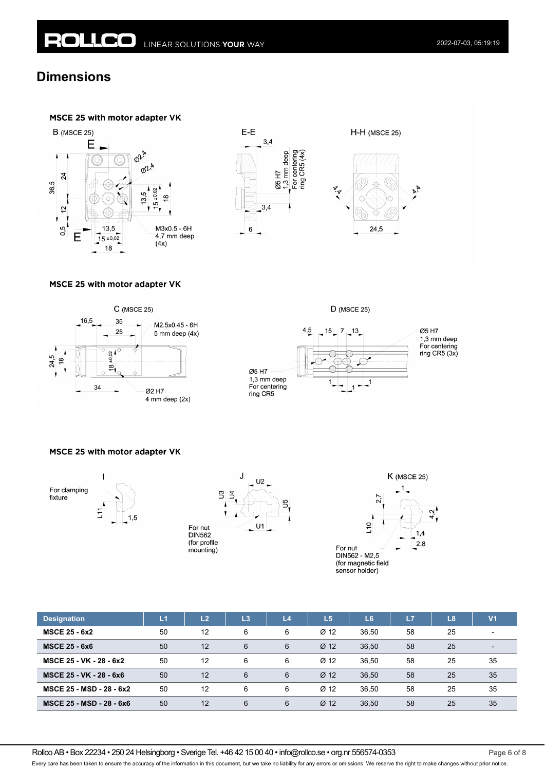### **Dimensions**

### MSCE 25 with motor adapter VK









### MSCE 25 with motor adapter VK







### MSCE 25 with motor adapter VK







| <b>Designation</b>       | L1 | L <sub>2</sub> | L3 | L <sub>4</sub> | L <sub>5</sub>  | L <sub>6</sub> | L7 | L8 | V <sub>1</sub>           |
|--------------------------|----|----------------|----|----------------|-----------------|----------------|----|----|--------------------------|
| <b>MSCE 25 - 6x2</b>     | 50 | 12             | 6  | 6              | Ø <sub>12</sub> | 36,50          | 58 | 25 | $\overline{\phantom{0}}$ |
| <b>MSCE 25 - 6x6</b>     | 50 | 12             | 6  | 6              | Ø <sub>12</sub> | 36.50          | 58 | 25 | $\overline{\phantom{0}}$ |
| MSCE 25 - VK - 28 - 6x2  | 50 | 12             | 6  | 6              | Ø <sub>12</sub> | 36.50          | 58 | 25 | 35                       |
| MSCE 25 - VK - 28 - 6x6  | 50 | 12             | 6  | 6              | Ø <sub>12</sub> | 36.50          | 58 | 25 | 35                       |
| MSCE 25 - MSD - 28 - 6x2 | 50 | 12             | 6  | 6              | $Ø$ 12          | 36.50          | 58 | 25 | 35                       |
| MSCE 25 - MSD - 28 - 6x6 | 50 | 12             | 6  | 6              | Ø <sub>12</sub> | 36,50          | 58 | 25 | 35                       |

Rollco AB • Box 22234 • 250 24 Helsingborg • Sverige Tel. +46 42 15 00 40 • info@rollco.se • org.nr 556574-0353 Page 6 of 8

Every care has been taken to ensure the accuracy of the information in this document, but we take no liability for any errors or omissions. We reserve the right to make changes without prior notice.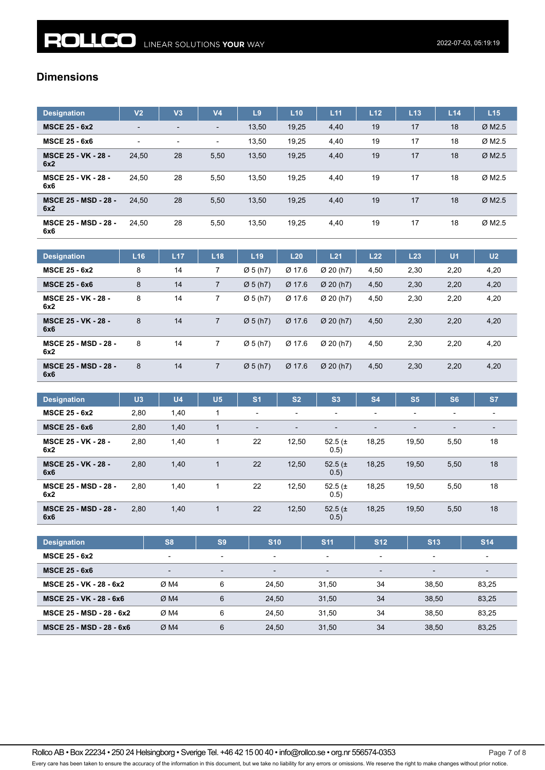### **Dimensions**

| <b>Designation</b>                 | V <sub>2</sub>           | V <sub>3</sub>           | V <sub>4</sub>           | L <sub>9</sub> | L10   | L11  | L <sub>12</sub> | L <sub>13</sub> | L14 | L15                  |
|------------------------------------|--------------------------|--------------------------|--------------------------|----------------|-------|------|-----------------|-----------------|-----|----------------------|
| <b>MSCE 25 - 6x2</b>               | $\overline{\phantom{a}}$ | $\overline{\phantom{0}}$ |                          | 13,50          | 19,25 | 4,40 | 19              | 17              | 18  | ØM2.5                |
| <b>MSCE 25 - 6x6</b>               | $\overline{\phantom{0}}$ | $\overline{\phantom{a}}$ | $\overline{\phantom{a}}$ | 13,50          | 19,25 | 4,40 | 19              | 17              | 18  | $\varnothing$ M2.5   |
| <b>MSCE 25 - VK - 28 -</b><br>6x2  | 24,50                    | 28                       | 5,50                     | 13,50          | 19,25 | 4,40 | 19              | 17              | 18  | $Ø$ M <sub>2.5</sub> |
| <b>MSCE 25 - VK - 28 -</b><br>6x6  | 24.50                    | 28                       | 5,50                     | 13.50          | 19.25 | 4,40 | 19              | 17              | 18  | $\varnothing$ M2.5   |
| <b>MSCE 25 - MSD - 28 -</b><br>6x2 | 24.50                    | 28                       | 5,50                     | 13,50          | 19,25 | 4,40 | 19              | 17              | 18  | $Ø$ M2.5             |
| <b>MSCE 25 - MSD - 28 -</b><br>6x6 | 24.50                    | 28                       | 5,50                     | 13,50          | 19,25 | 4,40 | 19              | 17              | 18  | Ø M <sub>2.5</sub>   |

| <b>Designation</b>                 | L16 | L <sub>17</sub> | L18            | L <sub>19</sub>      | L20      | L21                   | L22  | L23  | U <sub>1</sub> | U <sub>2</sub> |
|------------------------------------|-----|-----------------|----------------|----------------------|----------|-----------------------|------|------|----------------|----------------|
| <b>MSCE 25 - 6x2</b>               | 8   | 14              |                | $\varnothing$ 5 (h7) | Ø 17.6   | Ø 20(h7)              | 4,50 | 2,30 | 2,20           | 4,20           |
| <b>MSCE 25 - 6x6</b>               | 8   | 14              | 7              | $\varnothing$ 5 (h7) | Ø 17.6   | $\varnothing$ 20 (h7) | 4,50 | 2,30 | 2,20           | 4,20           |
| <b>MSCE 25 - VK - 28 -</b><br>6x2  | 8   | 14              |                | Ø5(h7)               | Ø 17.6   | Ø 20 (h7)             | 4,50 | 2,30 | 2,20           | 4,20           |
| <b>MSCE 25 - VK - 28 -</b><br>6x6  | 8   | 14              | $\overline{7}$ | $\varnothing$ 5 (h7) | $Ø$ 17.6 | Ø 20(h7)              | 4,50 | 2,30 | 2,20           | 4,20           |
| <b>MSCE 25 - MSD - 28 -</b><br>6x2 | 8   | 14              |                | Ø 5(h7)              | Ø 17.6   | Ø 20 (h7)             | 4,50 | 2,30 | 2,20           | 4,20           |
| <b>MSCE 25 - MSD - 28 -</b><br>6x6 | 8   | 14              | 7              | $\varnothing$ 5 (h7) | $Ø$ 17.6 | $Ø$ 20 (h7)           | 4,50 | 2,30 | 2,20           | 4,20           |

| <b>Designation</b>                 | U3   | U <sub>4</sub> | U <sub>5</sub> | S <sub>1</sub> | S <sub>2</sub>           | S <sub>3</sub>      | <b>S4</b>      | S <sub>5</sub> | <b>S6</b>                | <b>S7</b>                |
|------------------------------------|------|----------------|----------------|----------------|--------------------------|---------------------|----------------|----------------|--------------------------|--------------------------|
| <b>MSCE 25 - 6x2</b>               | 2,80 | 1,40           | 1              | $\blacksquare$ | $\overline{\phantom{a}}$ | -                   | $\blacksquare$ | -              | $\overline{\phantom{0}}$ |                          |
| <b>MSCE 25 - 6x6</b>               | 2,80 | 1,40           | 1              |                | $\blacksquare$           |                     | $\blacksquare$ |                | $\blacksquare$           | $\overline{\phantom{0}}$ |
| <b>MSCE 25 - VK - 28 -</b><br>6x2  | 2,80 | 1,40           |                | 22             | 12,50                    | 52.5 $(\pm$<br>0.5) | 18,25          | 19,50          | 5,50                     | 18                       |
| <b>MSCE 25 - VK - 28 -</b><br>6x6  | 2,80 | 1,40           | 1              | 22             | 12,50                    | 52.5 $(\pm$<br>0.5) | 18,25          | 19,50          | 5,50                     | 18                       |
| <b>MSCE 25 - MSD - 28 -</b><br>6x2 | 2,80 | 1,40           |                | 22             | 12,50                    | 52.5 $(\pm$<br>0.5) | 18,25          | 19,50          | 5,50                     | 18                       |
| <b>MSCE 25 - MSD - 28 -</b><br>6x6 | 2,80 | 1,40           | 1              | 22             | 12,50                    | 52.5 $(\pm$<br>0.5) | 18,25          | 19,50          | 5,50                     | 18                       |

| <b>Designation</b>       | S <sub>8</sub>           | S <sub>9</sub>           | <b>S10</b>               | <b>S11</b>               | <b>S12</b>               | <b>S13</b>               | <b>S14</b>               |
|--------------------------|--------------------------|--------------------------|--------------------------|--------------------------|--------------------------|--------------------------|--------------------------|
| <b>MSCE 25 - 6x2</b>     | $\overline{\phantom{a}}$ | $\overline{\phantom{a}}$ | $\overline{\phantom{0}}$ | $\overline{\phantom{0}}$ | $\overline{\phantom{0}}$ | $\blacksquare$           | $\overline{\phantom{0}}$ |
| <b>MSCE 25 - 6x6</b>     | $\blacksquare$           | $\overline{\phantom{a}}$ | $\overline{\phantom{0}}$ | $\overline{\phantom{0}}$ | $\overline{\phantom{0}}$ | $\overline{\phantom{0}}$ | $\overline{\phantom{0}}$ |
| MSCE 25 - VK - 28 - 6x2  | ØM4                      | 6                        | 24.50                    | 31.50                    | 34                       | 38.50                    | 83,25                    |
| MSCE 25 - VK - 28 - 6x6  | ØM4                      | 6                        | 24.50                    | 31.50                    | 34                       | 38.50                    | 83,25                    |
| MSCE 25 - MSD - 28 - 6x2 | ØM4                      | 6                        | 24.50                    | 31.50                    | 34                       | 38.50                    | 83,25                    |
| MSCE 25 - MSD - 28 - 6x6 | ØM4                      | 6                        | 24.50                    | 31,50                    | 34                       | 38.50                    | 83,25                    |

Rollco AB • Box 22234 • 250 24 Helsingborg • Sverige Tel. +46 42 15 00 40 • info@rollco.se • org.nr 556574-0353 Page 7 of 8